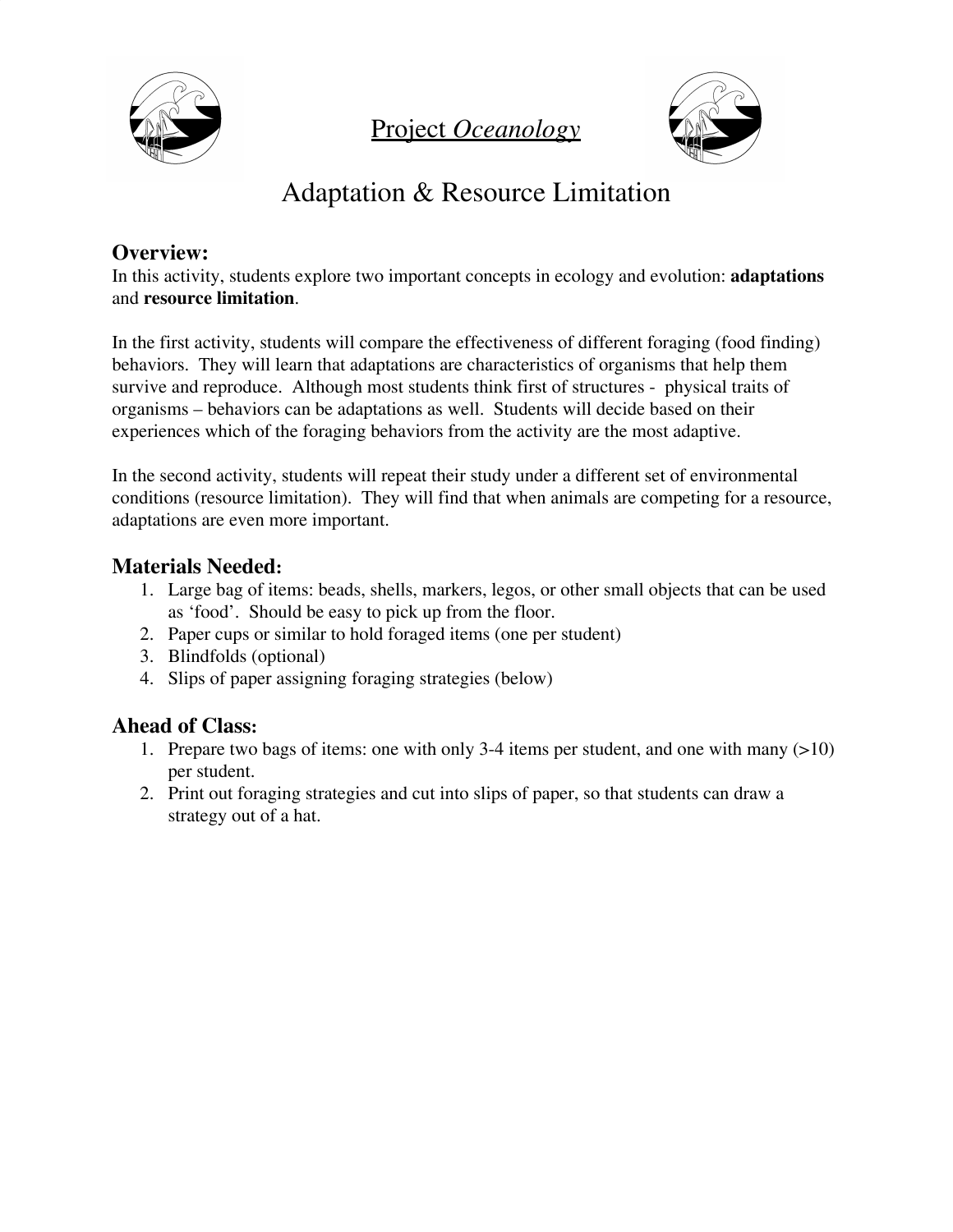

Project *Oceanology*



# Adaptation & Resource Limitation

## **Overview:**

In this activity, students explore two important concepts in ecology and evolution: **adaptations** and **resource limitation**.

In the first activity, students will compare the effectiveness of different foraging (food finding) behaviors. They will learn that adaptations are characteristics of organisms that help them survive and reproduce. Although most students think first of structures - physical traits of organisms – behaviors can be adaptations as well. Students will decide based on their experiences which of the foraging behaviors from the activity are the most adaptive.

In the second activity, students will repeat their study under a different set of environmental conditions (resource limitation). They will find that when animals are competing for a resource, adaptations are even more important.

## **Materials Needed:**

- 1. Large bag of items: beads, shells, markers, legos, or other small objects that can be used as 'food'. Should be easy to pick up from the floor.
- 2. Paper cups or similar to hold foraged items (one per student)
- 3. Blindfolds (optional)
- 4. Slips of paper assigning foraging strategies (below)

# **Ahead of Class:**

- 1. Prepare two bags of items: one with only 3-4 items per student, and one with many (>10) per student.
- 2. Print out foraging strategies and cut into slips of paper, so that students can draw a strategy out of a hat.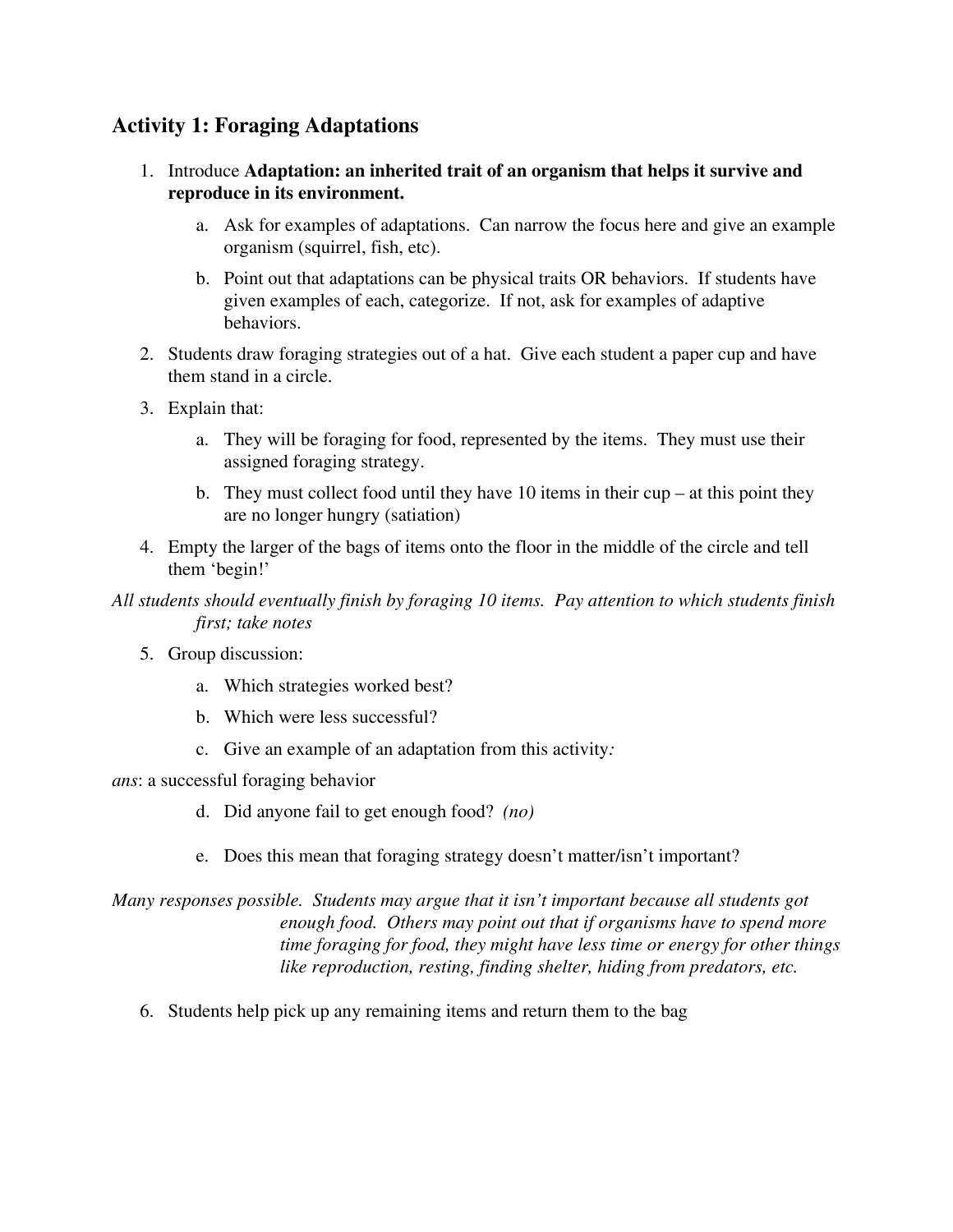## **Activity 1: Foraging Adaptations**

- 1. Introduce **Adaptation: an inherited trait of an organism that helps it survive and reproduce in its environment.**
	- a. Ask for examples of adaptations. Can narrow the focus here and give an example organism (squirrel, fish, etc).
	- b. Point out that adaptations can be physical traits OR behaviors. If students have given examples of each, categorize. If not, ask for examples of adaptive behaviors.
- 2. Students draw foraging strategies out of a hat. Give each student a paper cup and have them stand in a circle.
- 3. Explain that:
	- a. They will be foraging for food, represented by the items. They must use their assigned foraging strategy.
	- b. They must collect food until they have 10 items in their cup at this point they are no longer hungry (satiation)
- 4. Empty the larger of the bags of items onto the floor in the middle of the circle and tell them 'begin!'
- *All students should eventually finish by foraging 10 items. Pay attention to which students finish first; take notes*
	- 5. Group discussion:
		- a. Which strategies worked best?
		- b. Which were less successful?
		- c. Give an example of an adaptation from this activity*:*
- *ans*: a successful foraging behavior
	- d. Did anyone fail to get enough food? *(no)*
	- e. Does this mean that foraging strategy doesn't matter/isn't important?

*Many responses possible. Students may argue that it isn't important because all students got enough food. Others may point out that if organisms have to spend more time foraging for food, they might have less time or energy for other things like reproduction, resting, finding shelter, hiding from predators, etc.*

6. Students help pick up any remaining items and return them to the bag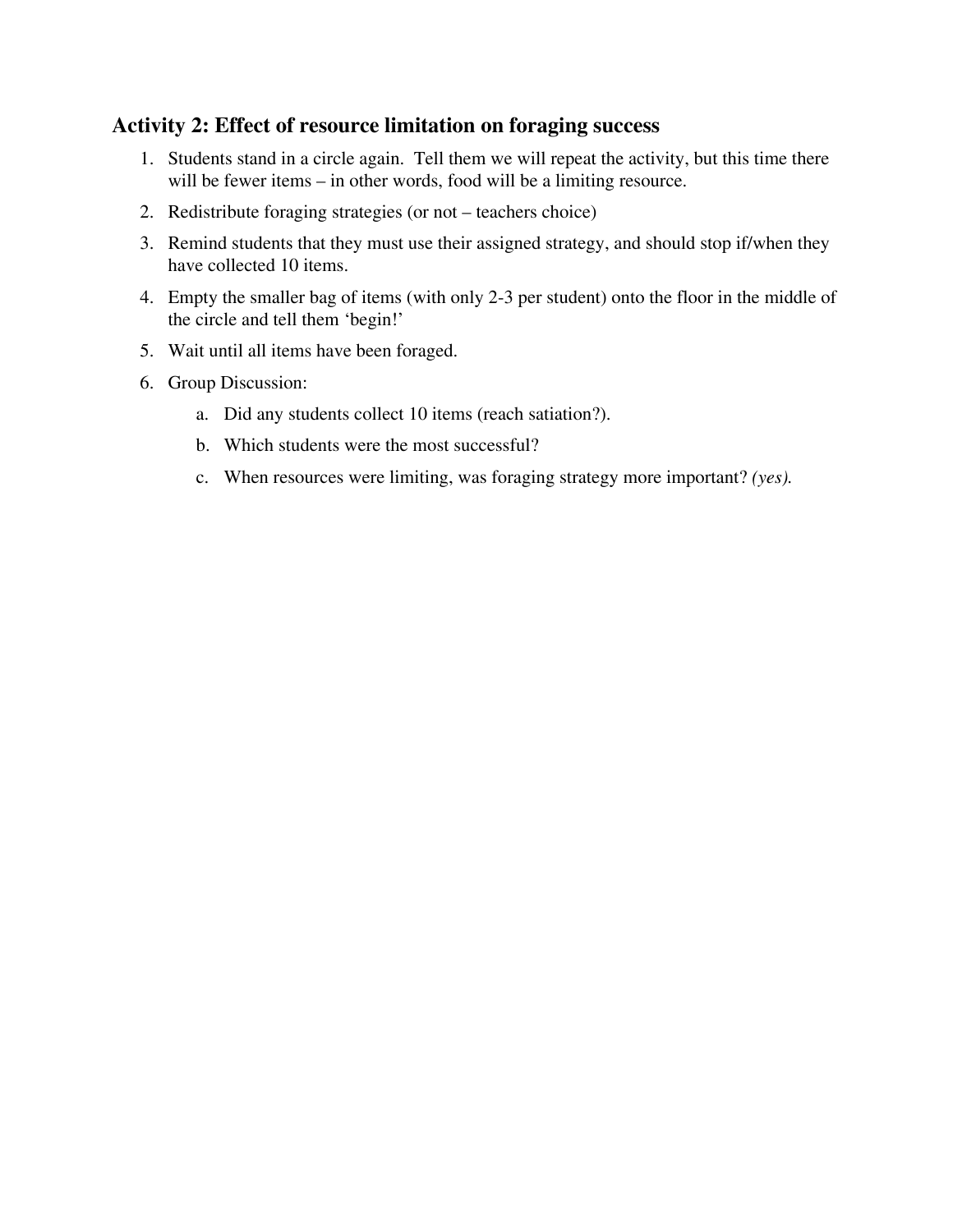## **Activity 2: Effect of resource limitation on foraging success**

- 1. Students stand in a circle again. Tell them we will repeat the activity, but this time there will be fewer items – in other words, food will be a limiting resource.
- 2. Redistribute foraging strategies (or not teachers choice)
- 3. Remind students that they must use their assigned strategy, and should stop if/when they have collected 10 items.
- 4. Empty the smaller bag of items (with only 2-3 per student) onto the floor in the middle of the circle and tell them 'begin!'
- 5. Wait until all items have been foraged.
- 6. Group Discussion:
	- a. Did any students collect 10 items (reach satiation?).
	- b. Which students were the most successful?
	- c. When resources were limiting, was foraging strategy more important? *(yes).*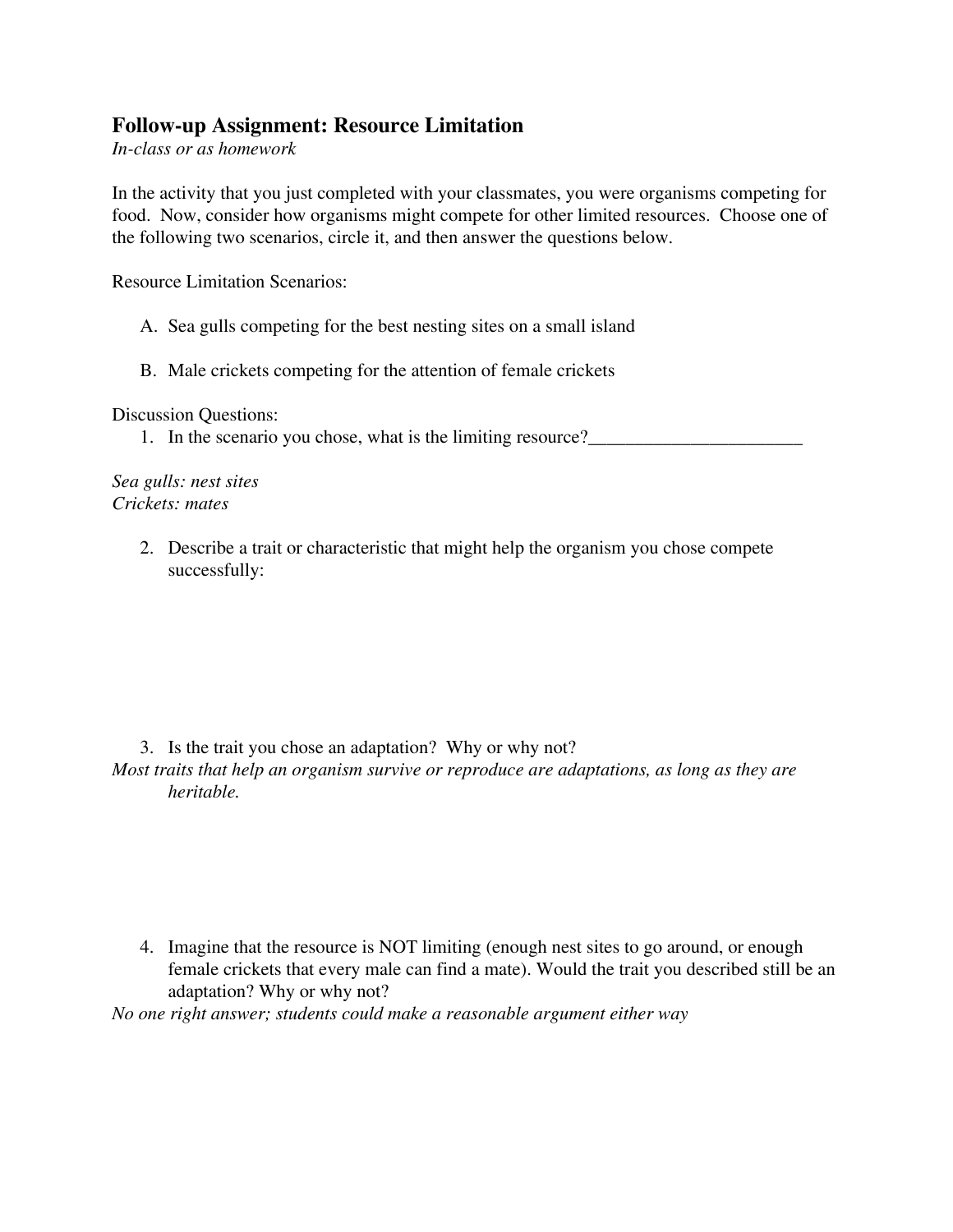### **Follow-up Assignment: Resource Limitation**

*In-class or as homework*

In the activity that you just completed with your classmates, you were organisms competing for food. Now, consider how organisms might compete for other limited resources. Choose one of the following two scenarios, circle it, and then answer the questions below.

Resource Limitation Scenarios:

- A. Sea gulls competing for the best nesting sites on a small island
- B. Male crickets competing for the attention of female crickets

Discussion Questions:

1. In the scenario you chose, what is the limiting resource?

*Sea gulls: nest sites Crickets: mates*

> 2. Describe a trait or characteristic that might help the organism you chose compete successfully:

#### 3. Is the trait you chose an adaptation? Why or why not?

*Most traits that help an organism survive or reproduce are adaptations, as long as they are heritable.*

4. Imagine that the resource is NOT limiting (enough nest sites to go around, or enough female crickets that every male can find a mate). Would the trait you described still be an adaptation? Why or why not?

*No one right answer; students could make a reasonable argument either way*